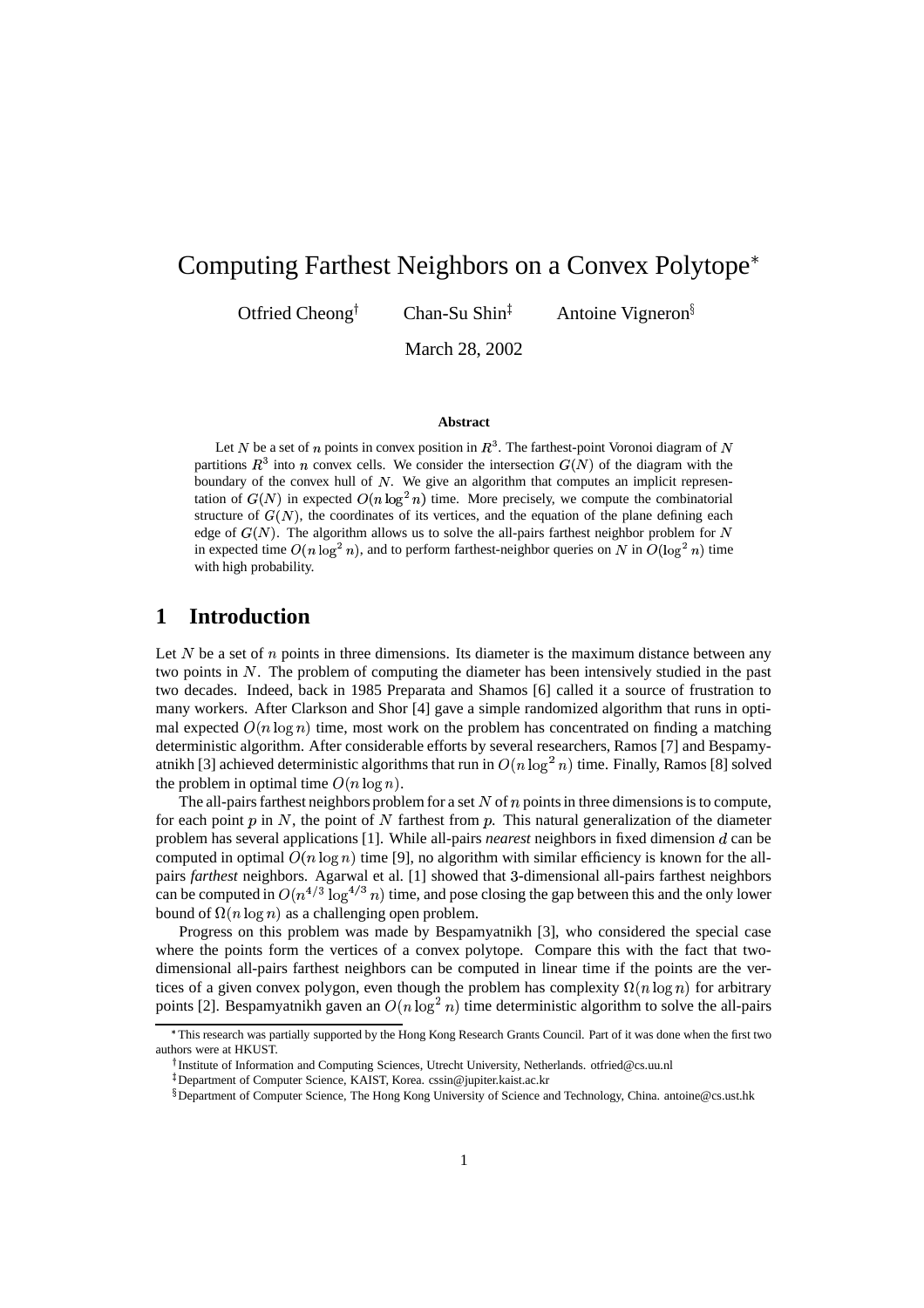# Computing Farthest Neighbors on a Convex Polytope

Otfried Cheong<sup>†</sup>

Chan-Su Shin $<sup>†</sup>$ </sup>

Antoine Vigneron

March 28, 2002

#### **Abstract**

Let N be a set of n points in convex position in  $R<sup>3</sup>$ . The farthest-point Voronoi diagram of N partitions  $R<sup>3</sup>$  into *n* convex cells. We consider the intersection  $G(N)$  of the diagram with the boundary of the convex hull of  $N$ . We give an algorithm that computes an implicit representation of  $G(N)$  in expected  $O(n \log^2 n)$  time. More precisely, we compute the combinatorial structure of  $G(N)$ , the coordinates of its vertices, and the equation of the plane defining each edge of  $G(N)$ . The algorithm allows us to solve the all-pairs farthest neighbor problem for N in expected time  $O(n \log^2 n)$ , and to perform farthest-neighbor queries on N in  $O(\log^2 n)$  time with high probability.

#### **1 Introduction**

Let  $N$  be a set of  $n$  points in three dimensions. Its diameter is the maximum distance between any two points in  $N$ . The problem of computing the diameter has been intensively studied in the past two decades. Indeed, back in 1985 Preparata and Shamos [6] called it a source of frustration to many workers. After Clarkson and Shor [4] gave a simple randomized algorithm that runs in optimal expected  $O(n \log n)$  time, most work on the problem has concentrated on finding a matching deterministic algorithm. After considerable efforts by several researchers, Ramos [7] and Bespamyatnikh [3] achieved deterministic algorithms that run in  $O(n \log^2 n)$  time. Finally, Ramos [8] solved the problem in optimal time  $O(n \log n)$ .

The all-pairs farthest neighbors problem for a set  $N$  of  $n$  points in three dimensions is to compute, for each point  $p$  in  $N$ , the point of  $N$  farthest from  $p$ . This natural generalization of the diameter problem has several applications [1]. While all-pairs *nearest* neighbors in fixed dimension d can be computed in optimal  $O(n \log n)$  time [9], no algorithm with similar efficiency is known for the allpairs *farthest* neighbors. Agarwal et al. [1] showed that <sup>2</sup>-dimensional all-pairs farthest neighbors can be computed in  $O(n^{4/3} \log^{4/3} n)$  time, and pose closing the gap between this and the only lower bound of  $\Omega(n \log n)$  as a challenging open problem.

Progress on this problem was made by Bespamyatnikh [3], who considered the special case where the points form the vertices of a convex polytope. Compare this with the fact that twodimensional all-pairs farthest neighbors can be computed in linear time if the points are the vertices of a given convex polygon, even though the problem has complexity  $\Omega(n \log n)$  for arbitrary points [2]. Bespamyatnikh gaven an  $O(n \log^2 n)$  time deterministic algorithm to solve the all-pairs

<sup>&</sup>lt; This research was partially supported by the Hong Kong Research Grants Council. Part of it was done when the first two authors were at HKUST.

<sup>&</sup>lt;sup>†</sup> Institute of Information and Computing Sciences, Utrecht University, Netherlands. otfried@cs.uu.nl

<sup>&</sup>gt; Department of Computer Science, KAIST, Korea. cssin@jupiter.kaist.ac.kr

<sup>?</sup> Department of Computer Science, The Hong Kong University of Science and Technology, China. antoine@cs.ust.hk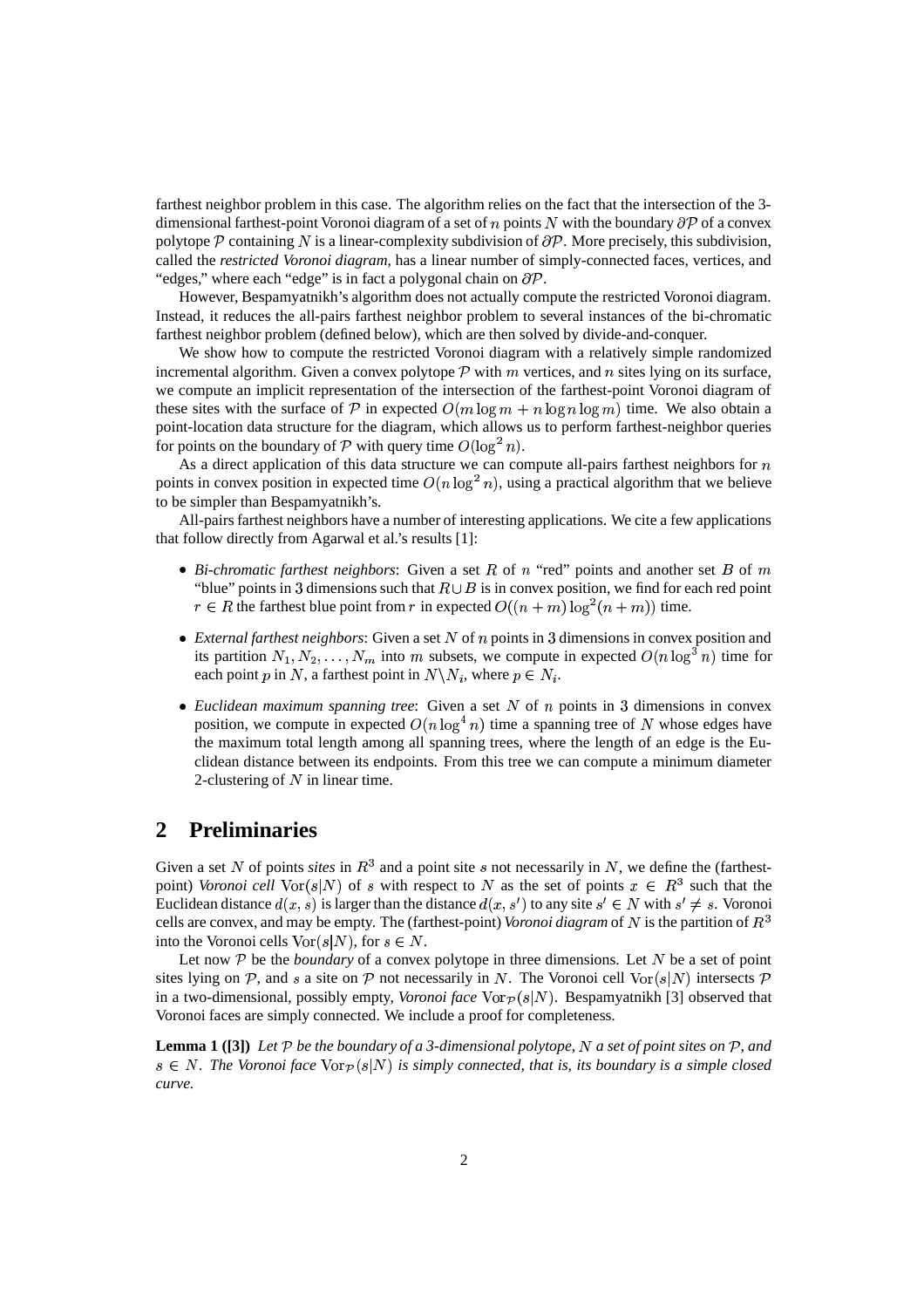farthest neighbor problem in this case. The algorithm relies on the fact that the intersection of the 3 dimensional farthest-point Voronoi diagram of a set of n points N with the boundary  $\partial \mathcal{P}$  of a convex polytope  $P$  containing N is a linear-complexity subdivision of  $\partial P$ . More precisely, this subdivision, called the *restricted Voronoi diagram*, has a linear number of simply-connected faces, vertices, and "edges," where each "edge" is in fact a polygonal chain on  $\partial P$ .

However, Bespamyatnikh's algorithm does not actually compute the restricted Voronoi diagram. Instead, it reduces the all-pairs farthest neighbor problem to several instances of the bi-chromatic farthest neighbor problem (defined below), which are then solved by divide-and-conquer.

We show how to compute the restricted Voronoi diagram with a relatively simple randomized incremental algorithm. Given a convex polytope  $P$  with  $m$  vertices, and  $n$  sites lying on its surface, we compute an implicit representation of the intersection of the farthest-point Voronoi diagram of these sites with the surface of P in expected  $O(m \log m + n \log n \log m)$  time. We also obtain a point-location data structure for the diagram, which allows us to perform farthest-neighbor queries for points on the boundary of  $P$  with query time  $O(\log^2 n)$ .

As a direct application of this data structure we can compute all-pairs farthest neighbors for  $n$ points in convex position in expected time  $O(n \log^2 n)$ , using a practical algorithm that we believe to be simpler than Bespamyatnikh's.

All-pairs farthest neighbors have a number of interesting applications. We cite a few applications that follow directly from Agarwal et al.'s results [1]:

- *Bi-chromatic farthest neighbors*: Given a set  $R$  of  $n$  "red" points and another set  $B$  of  $m$ "blue" points in 3 dimensions such that  $R \cup B$  is in convex position, we find for each red point  $r \in R$  the farthest blue point from r in expected  $O((n+m)\log^2(n+m))$  time.
- $\bullet$  *External farthest neighbors*: Given a set N of n points in 3 dimensions in convex position and its partition  $N_1, N_2, \ldots, N_m$  into m subsets, we compute in expected  $O(n \log^3 n)$  time for each point p in N, a farthest point in  $N \backslash N_i$ , where  $p \in N_i$ .
- *Euclidean maximum spanning tree:* Given a set  $N$  of  $n$  points in 3 dimensions in convex position, we compute in expected  $O(n \log^4 n)$  time a spanning tree of N whose edges have the maximum total length among all spanning trees, where the length of an edge is the Euclidean distance between its endpoints. From this tree we can compute a minimum diameter 2-clustering of  $N$  in linear time.

### **2 Preliminaries**

Given a set N of points *sites* in  $R<sup>3</sup>$  and a point site s not necessarily in N, we define the (farthestpoint) *Voronoi* cell  $\text{Vor}(s|N)$  of s with respect to N as the set of points  $x \in R^3$  such that the Euclidean distance  $d(x, s)$  is larger than the distance  $d(x, s')$  to any site  $s' \in N$  with  $s' \neq s$ . Voronoi cells are convex, and may be empty. The (farthest-point) *Voronoi diagram* of N is the partition of  $R^3$ into the Voronoi cells  $\text{Vor}(s|N)$ , for  $s \in N$ .

Let now  $P$  be the *boundary* of a convex polytope in three dimensions. Let  $N$  be a set of point sites lying on  $\mathcal{P}$ , and s a site on  $\mathcal{P}$  not necessarily in N. The Voronoi cell  $\text{Vor}(s|N)$  intersects  $\mathcal{P}$ in a two-dimensional, possibly empty, *Voronoi face*  $\text{Vor}_{\mathcal{D}}(s|N)$ . Bespamyatnikh [3] observed that Voronoi faces are simply connected. We include a proof for completeness.

**Lemma 1** ([3]) Let P be the boundary of a 3-dimensional polytope, N a set of point sites on P, and  $s \in N$ . The Voronoi face  $\text{Vor}_{\mathcal{P}}(s|N)$  is simply connected, that is, its boundary is a simple closed *curve.*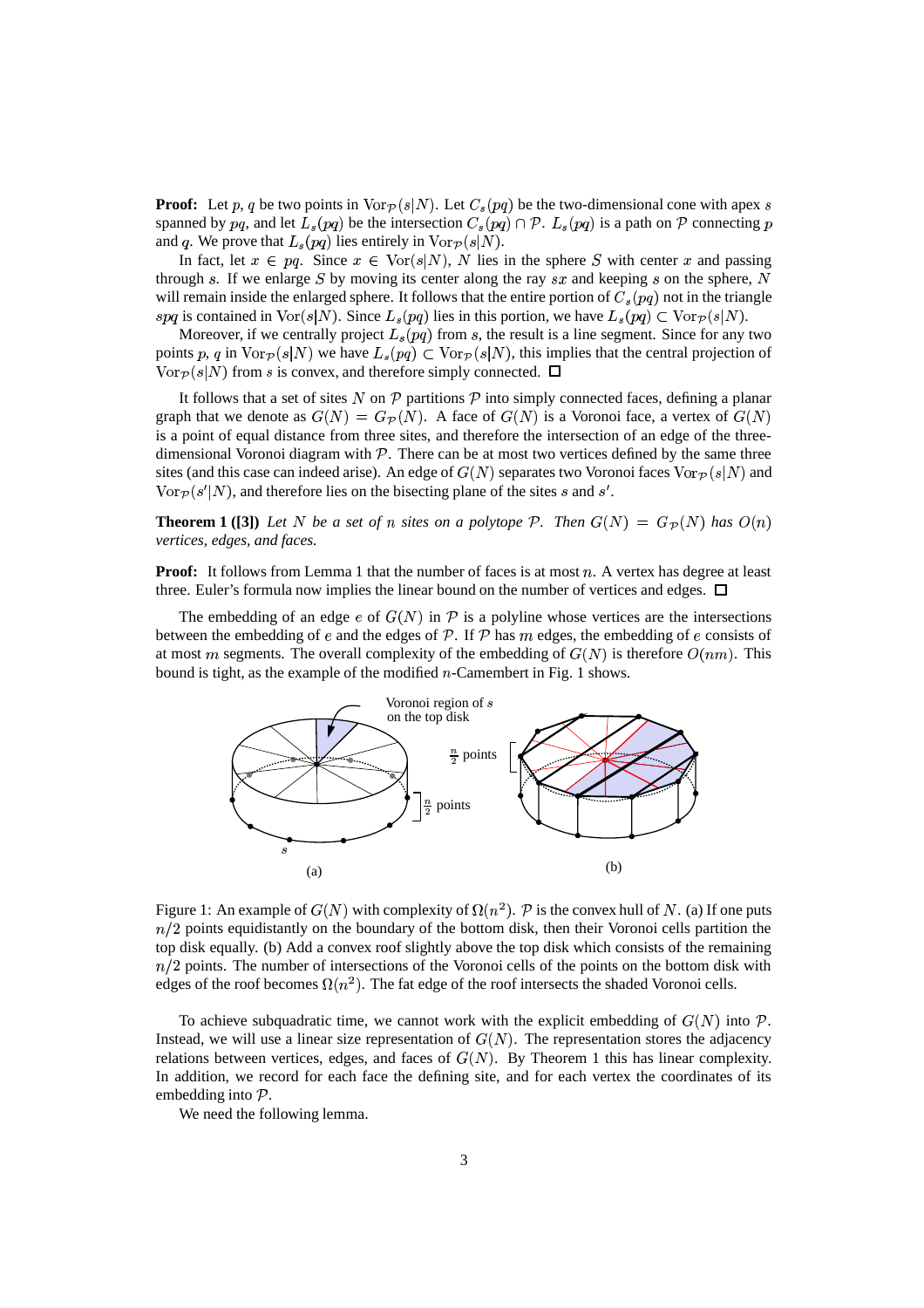**Proof:** Let p, q be two points in  $\text{Vor}_{\mathcal{P}}(s|N)$ . Let  $C_s(pq)$  be the two-dimensional cone with apex s spanned by pq, and let  $L_s(pq)$  be the intersection  $C_s(pq) \cap \mathcal{P}$ .  $L_s(pq)$  is a path on  $\mathcal P$  connecting p and q. We prove that  $L_s(pq)$  lies entirely in  $\text{Vor}_{\mathcal{P}}(s|N)$ .

In fact, let  $x \in pq$ . Since  $x \in \text{Vor}(s|N)$ , N lies in the sphere S with center x and passing through  $s$ . If we enlarge  $S$  by moving its center along the ray  $sx$  and keeping  $s$  on the sphere,  $N$ will remain inside the enlarged sphere. It follows that the entire portion of  $C_s(pq)$  not in the triangle spq is contained in Vor $(s|N)$ . Since  $L_s(pq)$  lies in this portion, we have  $L_s(pq) \subset \text{Vor}_{\mathcal{P}}(s|N)$ .

Moreover, if we centrally project  $L_s(pq)$  from s, the result is a line segment. Since for any two points p, q in  $\text{Vor}_{\mathcal{P}}(s|N)$  we have  $L_s(pq) \subset \text{Vor}_{\mathcal{P}}(s|N)$ , this implies that the central projection of  $\text{Vor}_{\mathcal{P}}(s|N)$  from s is convex, and therefore simply connected.  $\Box$ 

It follows that a set of sites N on  $P$  partitions  $P$  into simply connected faces, defining a planar graph that we denote as  $G(N) = G_{\mathcal{P}}(N)$ . A face of  $G(N)$  is a Voronoi face, a vertex of  $G(N)$ is a point of equal distance from three sites, and therefore the intersection of an edge of the threedimensional Voronoi diagram with  $P$ . There can be at most two vertices defined by the same three sites (and this case can indeed arise). An edge of  $G(N)$  separates two Voronoi faces  $\text{Vor}_{\mathcal{P}}(s|N)$  and  $\text{Vor}_{\mathcal{P}}(s'|N)$ , and therefore lies on the bisecting plane of the sites s and s'.

**Theorem 1** ([3]) Let N be a set of n sites on a polytope P. Then  $G(N) = G<sub>P</sub>(N)$  has  $O(n)$ *vertices, edges, and faces.*

**Proof:** It follows from Lemma 1 that the number of faces is at most  $n$ . A vertex has degree at least three. Euler's formula now implies the linear bound on the number of vertices and edges.  $\Box$ 

The embedding of an edge  $e$  of  $G(N)$  in  $P$  is a polyline whose vertices are the intersections between the embedding of  $e$  and the edges of  $\mathcal P$ . If  $\mathcal P$  has  $m$  edges, the embedding of  $e$  consists of at most m segments. The overall complexity of the embedding of  $G(N)$  is therefore  $O(nm)$ . This bound is tight, as the example of the modified  $n$ -Camembert in Fig. 1 shows.



Figure 1: An example of  $G(N)$  with complexity of  $\Omega(n^2)$ . P is the convex hull of N. (a) If one puts  $n/2$  points equidistantly on the boundary of the bottom disk, then their Voronoi cells partition the top disk equally. (b) Add a convex roof slightly above the top disk which consists of the remaining  $n/2$  points. The number of intersections of the Voronoi cells of the points on the bottom disk with edges of the roof becomes  $\Omega(n^2)$ . The fat edge of the roof intersects the shaded Voronoi cells.

To achieve subquadratic time, we cannot work with the explicit embedding of  $G(N)$  into  $P$ . Instead, we will use a linear size representation of  $G(N)$ . The representation stores the adjacency relations between vertices, edges, and faces of  $G(N)$ . By Theorem 1 this has linear complexity. In addition, we record for each face the defining site, and for each vertex the coordinates of its embedding into  $P$ .

We need the following lemma.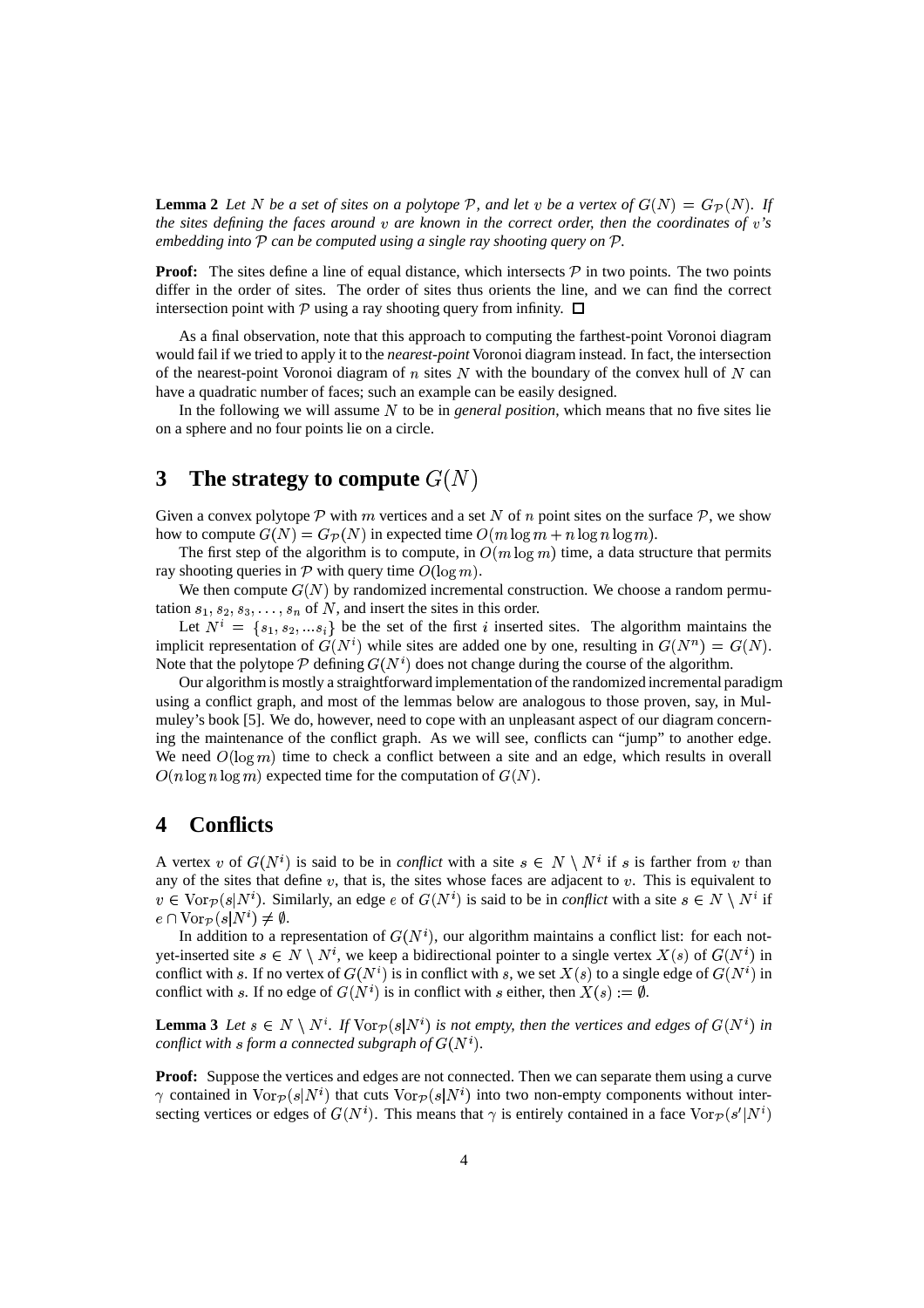**Lemma 2** Let N be a set of sites on a polytope P, and let v be a vertex of  $G(N) = G_{\mathcal{P}}(N)$ . If *the sites defining the faces around are known in the correct order, then the coordinates of 's embedding into can be computed using a single ray shooting query on .*

**Proof:** The sites define a line of equal distance, which intersects  $P$  in two points. The two points differ in the order of sites. The order of sites thus orients the line, and we can find the correct intersection point with P using a ray shooting query from infinity.  $\Box$ 

As a final observation, note that this approach to computing the farthest-point Voronoi diagram would fail if we tried to apply it to the *nearest-point* Voronoi diagram instead. In fact, the intersection of the nearest-point Voronoi diagram of  $n$  sites N with the boundary of the convex hull of N can have a quadratic number of faces; such an example can be easily designed.

In the following we will assume N to be in *general position*, which means that no five sites lie on a sphere and no four points lie on a circle.

# **3** The strategy to compute  $G(N)$

Given a convex polytope P with m vertices and a set N of n point sites on the surface P, we show how to compute  $G(N) = G_{\mathcal{P}}(N)$  in expected time  $O(m \log m + n \log n \log m)$ .

The first step of the algorithm is to compute, in  $O(m \log m)$  time, a data structure that permits ray shooting queries in  $P$  with query time  $O(\log m)$ .

We then compute  $G(N)$  by randomized incremental construction. We choose a random permutation  $s_1, s_2, s_3, \ldots, s_n$  of N, and insert the sites in this order.

Let  $N^i = \{s_1, s_2, \dots s_i\}$  be the set of the first *i* inserted sites. The algorithm maintains the implicit representation of  $G(N^i)$  while sites are added one by one, resulting in  $G(N^n) = G(N)$ . Note that the polytope  $P$  defining  $G(N<sup>i</sup>)$  does not change during the course of the algorithm.

Our algorithm is mostly a straightforward implementation of the randomized incremental paradigm using a conflict graph, and most of the lemmas below are analogous to those proven, say, in Mulmuley's book [5]. We do, however, need to cope with an unpleasant aspect of our diagram concerning the maintenance of the conflict graph. As we will see, conflicts can "jump" to another edge. We need  $O(\log m)$  time to check a conflict between a site and an edge, which results in overall  $O(n \log n \log m)$  expected time for the computation of  $G(N)$ .

### **4 Conflicts**

A vertex v of  $G(N^i)$  is said to be in *conflict* with a site  $s \in N \setminus N^i$  if s is farther from v than any of the sites that define  $v$ , that is, the sites whose faces are adjacent to  $v$ . This is equivalent to  $v \in \text{Vor}_{\mathcal{P}}(s|N^i)$ . Similarly, an edge  $e$  of  $G(N^i)$  is said to be in *conflict* with a site  $s \in N \setminus N^i$  if  $e \cap \text{Vor}_{\mathcal{P}}(s|N^i) \neq \emptyset.$ 

In addition to a representation of  $G(N<sup>i</sup>)$ , our algorithm maintains a conflict list: for each notyet-inserted site  $s \in N \setminus N^i$ , we keep a bidirectional pointer to a single vertex  $X(s)$  of  $G(N^i)$  in conflict with s. If no vertex of  $G(N^i)$  is in conflict with s, we set  $X(s)$  to a single edge of  $G(N^i)$  in conflict with s. If no edge of  $G(N^i)$  is in conflict with s either, then  $X(s) := \emptyset$ .

**Lemma** 3 Let  $s \in N \setminus N^i$ . If  $\text{Vor}_{\mathcal{P}}(s|N^i)$  is not empty, then the vertices and edges of  $G(N^i)$  in *conflict* with *s* form *a connected subgraph of*  $G(N<sup>i</sup>)$ *.* 

Proof: Suppose the vertices and edges are not connected. Then we can separate them using a curve  $\gamma$  contained in  $\text{Vor}_{\mathcal{P}}(s|N^i)$  that cuts  $\text{Vor}_{\mathcal{P}}(s|N^i)$  into two non-empty components without intersecting vertices or edges of  $G(N^i)$ . This means that  $\gamma$  is entirely contained in a face  $\text{Vor}_{\mathcal{P}}(s'|N^i)$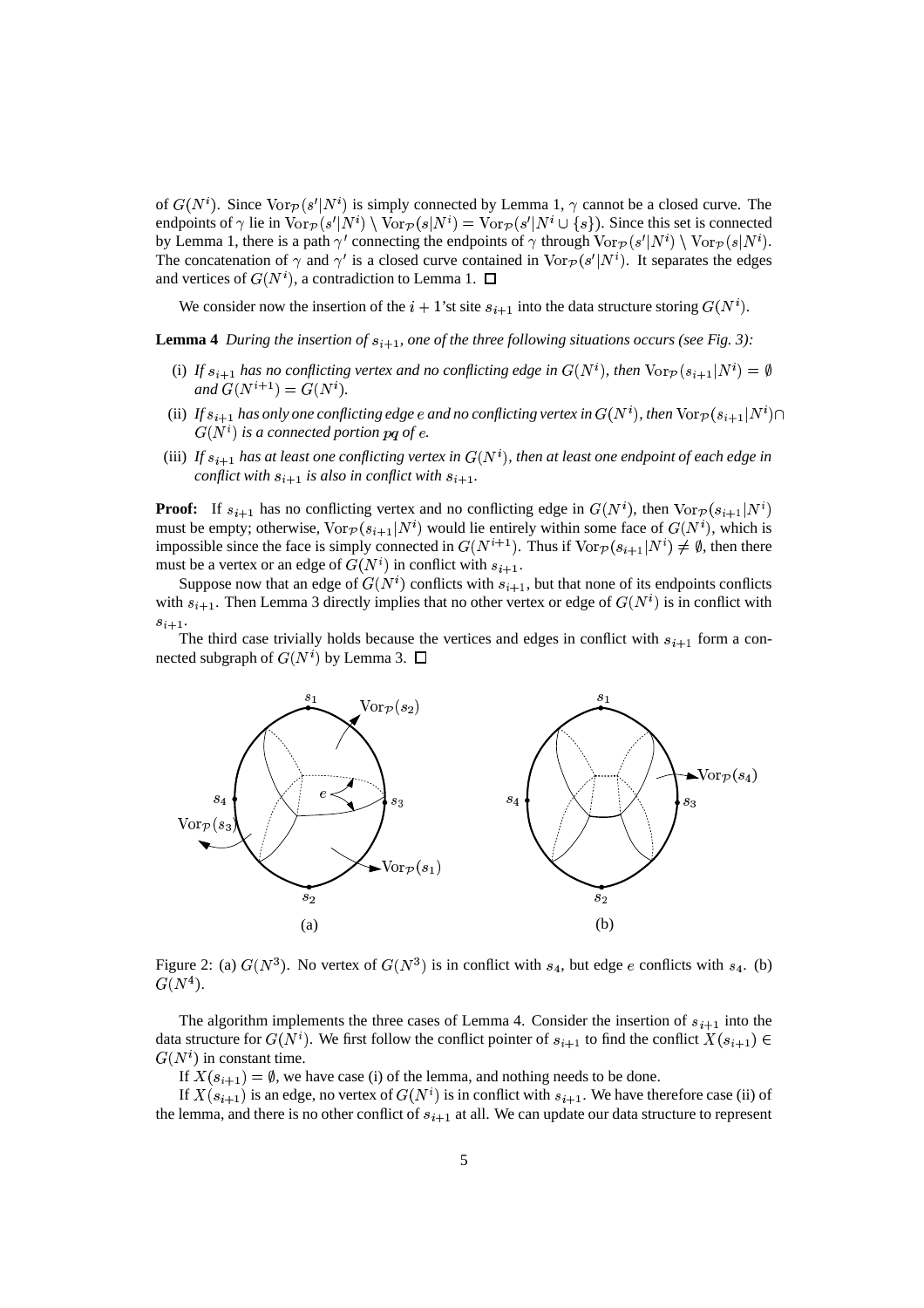of  $G(N^i)$ . Since  $\text{Vor}_{\mathcal{P}}(s'|N^i)$  is simply connected by Lemma 1,  $\gamma$  cannot be a closed curve. The endpoints of  $\gamma$  lie in  $\text{Vor}_{\mathcal{P}}(s'|N^i) \setminus \text{Vor}_{\mathcal{P}}(s|N^i) = \text{Vor}_{\mathcal{P}}(s'|N^i \cup \{s\})$ . Since this set is connected by Lemma 1, there is a path  $\gamma'$  connecting the endpoints of  $\gamma$  through  $\text{Vor}_{\mathcal{P}}(s'|N^i) \setminus \text{Vor}_{\mathcal{P}}(s|N^i)$ . The concatenation of  $\gamma$  and  $\gamma'$  is a closed curve contained in  $\text{Vor}_{\mathcal{P}}(s'|N^i)$ . It separates the edges and vertices of  $G(N^i)$ , a contradiction to Lemma 1.  $\Box$ 

We consider now the insertion of the  $i + 1$ 'st site  $s_{i+1}$  into the data structure storing  $G(N<sup>i</sup>)$ .

**Lemma** 4 During the insertion of  $s_{i+1}$ , one of the three following situations occurs (see Fig. 3):

- (i) If  $s_{i+1}$  has no conflicting vertex and no conflicting edge in  $G(N^i)$ , then  $\text{Vor}_{\mathcal{P}}(s_{i+1}|N^i) = \emptyset$  $and G(N^{i+1}) = G(N^{i}).$
- (ii) If  $s_{i+1}$  has only one conflicting edge  $e$  and no conflicting vertex in  $G(N^i)$ , then  $\text{Vor}_{\mathcal{P}}(s_{i+1}|N^i) \cap$  $G(N<sup>i</sup>)$  *is a connected portion pq of e.*
- (iii) If  $s_{i+1}$  has at least one conflicting vertex in  $G(N^i)$ , then at least one endpoint of each edge in *conflict* with  $s_{i+1}$  is also in conflict with  $s_{i+1}$ .

**Proof:** If  $s_{i+1}$  has no conflicting vertex and no conflicting edge in  $G(N^i)$ , then  $\text{Vor}_{\mathcal{P}}(s_{i+1}|N^i)$ must be empty; otherwise,  $\text{Vor}_{\mathcal{P}}(s_{i+1}|N^i)$  would lie entirely within some face of  $G(N^i)$ , which is impossible since the face is simply connected in  $G(N^{t+1})$ . Thus if  $\text{Vor}_{\mathcal{P}}(s_{i+1}|N^i) \neq \emptyset$ , then there must be a vertex or an edge of  $G(N<sup>i</sup>)$  in conflict with  $s_{i+1}$ .

Suppose now that an edge of  $G(N^i)$  conflicts with  $s_{i+1}$ , but that none of its endpoints conflicts with  $s_{i+1}$ . Then Lemma 3 directly implies that no other vertex or edge of  $G(N^i)$  is in conflict with  $s_{i+1}$ .

The third case trivially holds because the vertices and edges in conflict with  $s_{i+1}$  form a connected subgraph of  $G(N^i)$  by Lemma 3.  $\Box$ 



Figure 2: (a)  $G(N^3)$ . No vertex of  $G(N^3)$  is in conflict with  $s_4$ , but edge e conflicts with  $s_4$ . (b)  $\overline{G(N^4)}$ .

The algorithm implements the three cases of Lemma 4. Consider the insertion of  $s_{i+1}$  into the data structure for  $G(N^i)$ . We first follow the conflict pointer of  $s_{i+1}$  to find the conflict  $X(s_{i+1}) \in$  $G(N<sup>i</sup>)$  in constant time.

If  $X(s_{i+1}) = \emptyset$ , we have case (i) of the lemma, and nothing needs to be done.

If  $X(s_{i+1})$  is an edge, no vertex of  $G(N^i)$  is in conflict with  $s_{i+1}$ . We have therefore case (ii) of the lemma, and there is no other conflict of  $s_{i+1}$  at all. We can update our data structure to represent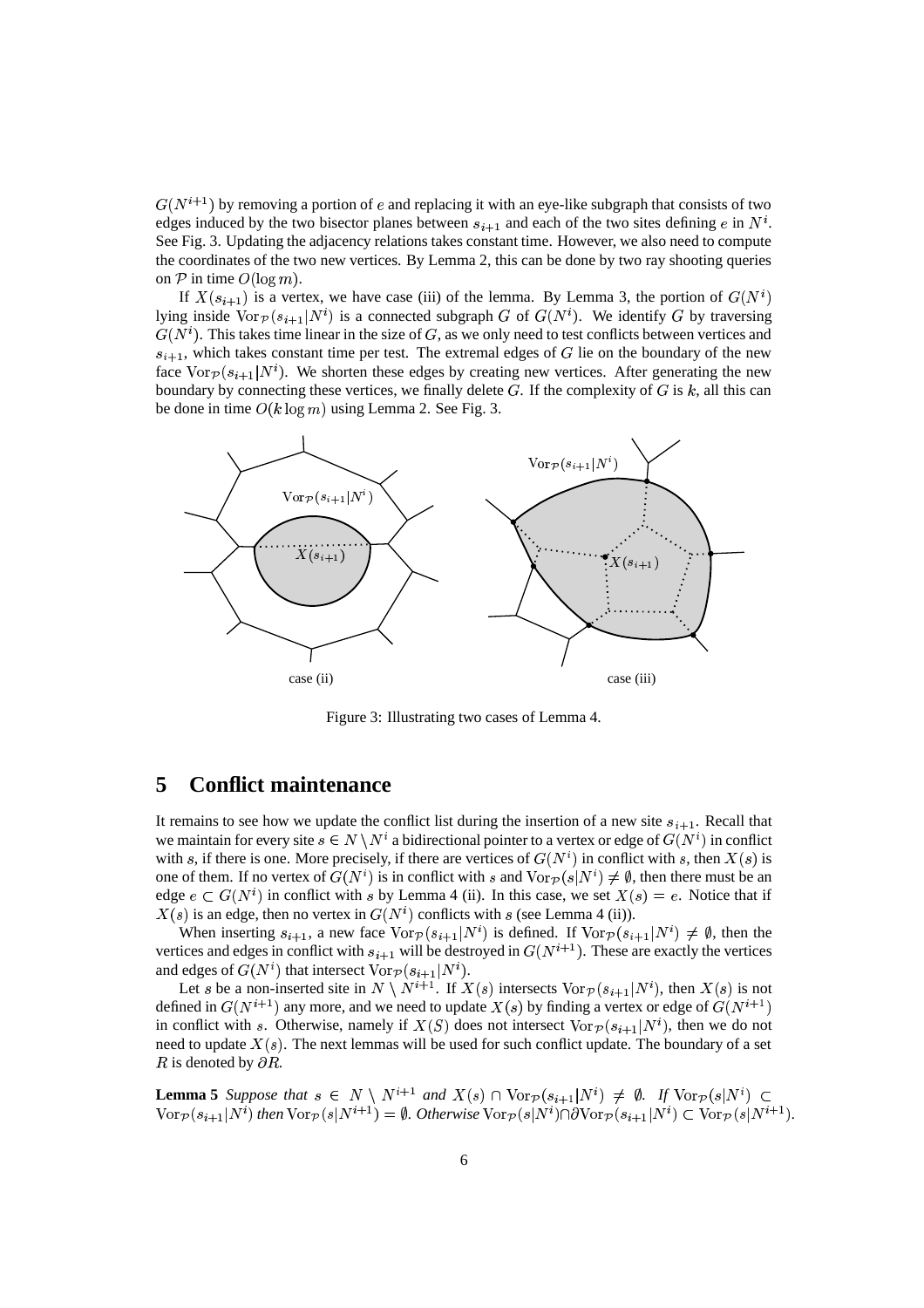$G(N^{i+1})$  by removing a portion of  $e$  and replacing it with an eye-like subgraph that consists of two edges induced by the two bisector planes between  $s_{i+1}$  and each of the two sites defining e in  $N^i$ . See Fig. 3. Updating the adjacency relations takes constant time. However, we also need to compute the coordinates of the two new vertices. By Lemma 2, this can be done by two ray shooting queries on  $P$  in time  $O(\log m)$ .

If  $X(s_{i+1})$  is a vertex, we have case (iii) of the lemma. By Lemma 3, the portion of  $G(N^i)$ lying inside  $\text{Vor}_{\mathcal{P}}(s_{i+1}|N^i)$  is a connected subgraph G of  $G(N^i)$ . We identify G by traversing  $G(N<sup>i</sup>)$ . This takes time linear in the size of G, as we only need to test conflicts between vertices and  $s_{i+1}$ , which takes constant time per test. The extremal edges of G lie on the boundary of the new face  $\text{Vor}_{\mathcal{P}}(s_{i+1}|N^i)$ . We shorten these edges by creating new vertices. After generating the new boundary by connecting these vertices, we finally delete  $G$ . If the complexity of  $G$  is  $k$ , all this can be done in time  $O(k \log m)$  using Lemma 2. See Fig. 3.



Figure 3: Illustrating two cases of Lemma 4.

# **5 Conflict maintenance**

It remains to see how we update the conflict list during the insertion of a new site  $s_{i+1}$ . Recall that we maintain for every site  $s \in N \setminus N^i$  a bidirectional pointer to a vertex or edge of  $G(N^i)$  in conflict with s, if there is one. More precisely, if there are vertices of  $G(N^i)$  in conflict with s, then  $X(s)$  is one of them. If no vertex of  $G(N^i)$  is in conflict with s and  $\text{Vor}_{\mathcal{P}}(s|N^i) \neq \emptyset$ , then there must be an edge  $e \subset G(N^i)$  in conflict with s by Lemma 4 (ii). In this case, we set  $X(s) = e$ . Notice that if  $X(s)$  is an edge, then no vertex in  $G(N<sup>i</sup>)$  conflicts with s (see Lemma 4 (ii)).

When inserting  $s_{i+1}$ , a new face  $\text{Vor}_{\mathcal{P}}(s_{i+1}|N^i)$  is defined. If  $\text{Vor}_{\mathcal{P}}(s_{i+1}|N^i) \neq \emptyset$ , then the vertices and edges in conflict with  $s_{i+1}$  will be destroyed in  $G(N^{i+1})$ . These are exactly the vertices and edges of  $G(N^i)$  that intersect  $\text{Vor}_{\mathcal{P}}(s_{i+1}|N^i)$ .

Let s be a non-inserted site in  $N \setminus N^{i+1}$ . If  $X(s)$  intersects  $\text{Vor}_{\mathcal{P}}(s_{i+1}|N^i)$ , then  $X(s)$  is not defined in  $G(N^{i+1})$  any more, and we need to update  $X(s)$  by finding a vertex or edge of  $G(N^{i+1})$ in conflict with s. Otherwise, namely if  $X(S)$  does not intersect  $\text{Vor}_{\mathcal{P}}(s_{i+1}|N^i)$ , then we do not need to update  $X(s)$ . The next lemmas will be used for such conflict update. The boundary of a set R is denoted by  $\partial R$ .

**Lemma 5** Suppose that  $s \in N \setminus N^{i+1}$  and  $X(s) \cap \text{Vor}_{\mathcal{P}}(s_{i+1}|N^i) \neq \emptyset$ . If  $\text{Vor}_{\mathcal{P}}(s|N^i) \subset$  $\text{Vor}_{\mathcal{P}}(s_{i+1}|N^i)$  then  $\text{Vor}_{\mathcal{P}}(s|N^{i+1})=\emptyset$ . Otherwise  $\text{Vor}_{\mathcal{P}}(s|N^i) \cap \partial \text{Vor}_{\mathcal{P}}(s_{i+1}|N^i) \subset \text{Vor}_{\mathcal{P}}(s|N^{i+1})$ .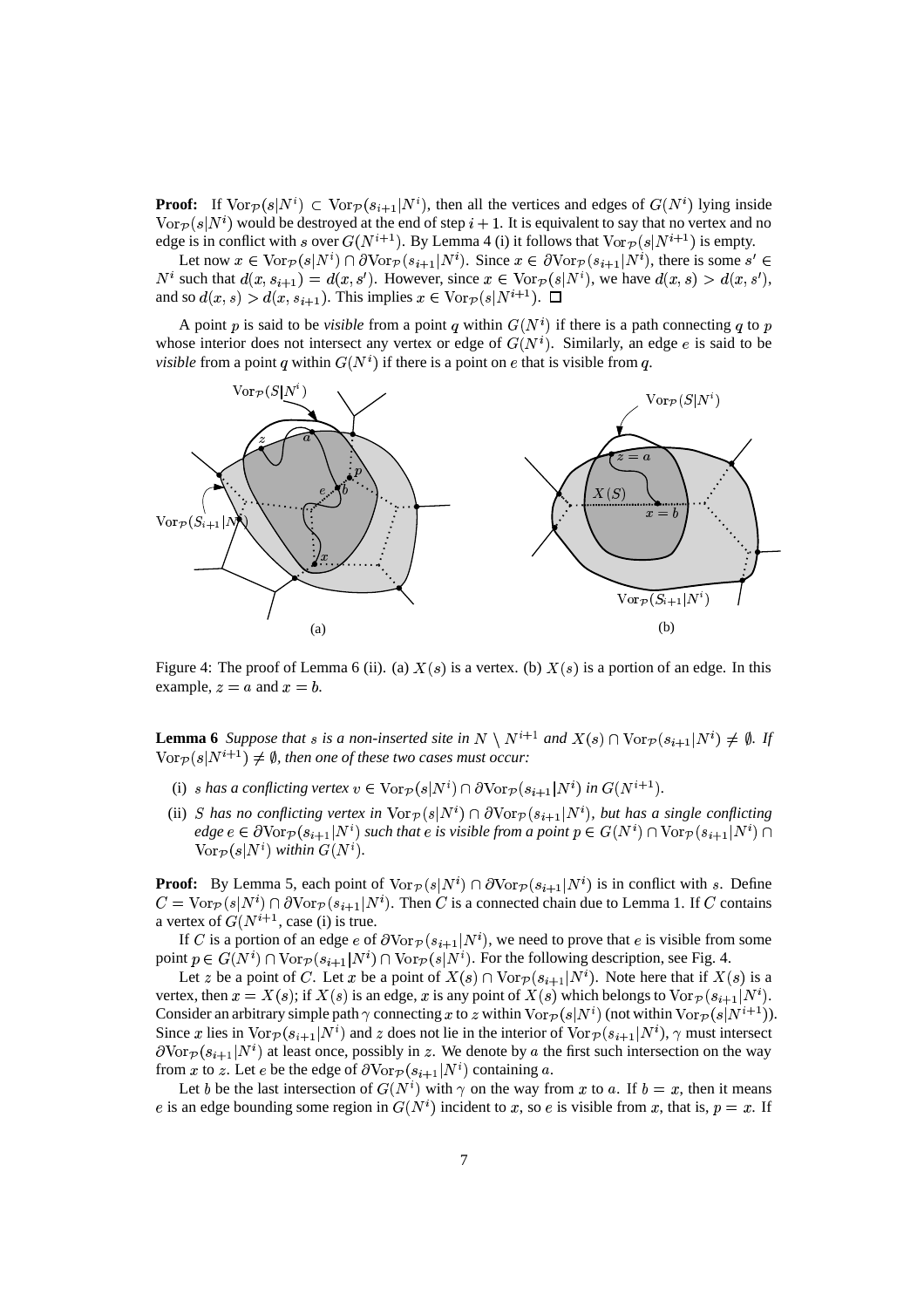**Proof:** If  $\text{Vor}_{\mathcal{P}}(s|N^i) \subset \text{Vor}_{\mathcal{P}}(s_{i+1}|N^i)$ , then all the vertices and edges of  $G(N^i)$  lying inside  $\text{Vor}_{\mathcal{P}}(s|N^i)$  would be destroyed at the end of step  $i + 1$ . It is equivalent to say that no vertex and no edge is in conflict with s over  $G(N^{i+1})$ . By Lemma 4 (i) it follows that  $\text{Vor}_{\mathcal{P}}(s|N^{i+1})$  is empty.

Let now  $x \in \text{Vor}_{\mathcal{P}}(s|N^i) \cap \partial \text{Vor}_{\mathcal{P}}(s_{i+1}|N^i)$ . Since  $x \in \partial \text{Vor}_{\mathcal{P}}(s_{i+1}|N^i)$ , there is some  $s' \in$  $N^i$  such that  $d(x, s_{i+1}) = d(x, s')$ . However, since  $x \in \text{Vor}_{\mathcal{P}}(s|N^i)$ , we have  $d(x, s) > d(x, s')$ , and so  $d(x, s) > d(x, s_{i+1})$ . This implies  $x \in \text{Vor}_{\mathcal{P}}(s|N^{i+1})$ .  $\Box$ 

A point p is said to be *visible* from a point q within  $G(N<sup>i</sup>)$  if there is a path connecting q to p whose interior does not intersect any vertex or edge of  $G(N<sup>i</sup>)$ . Similarly, an edge e is said to be *visible* from a point q within  $G(N<sup>i</sup>)$  if there is a point on  $e$  that is visible from q.



Figure 4: The proof of Lemma 6 (ii). (a)  $X(s)$  is a vertex. (b)  $X(s)$  is a portion of an edge. In this example,  $z = a$  and  $x = b$ .

**Lemma** 6 Suppose that s is a non-inserted site in  $N \setminus N^{i+1}$  and  $X(s) \cap \text{Vor}_{\mathcal{P}}(s_{i+1}|N^i) \neq \emptyset$ . If  $\text{Vor}_{\mathcal{P}}(s|N^{i+1}) \neq \emptyset$ , then one of these two cases must occur:

- (i) s has a conflicting vertex  $v \in \text{Vor}_{\mathcal{P}}(s|N^i) \cap \partial \text{Vor}_{\mathcal{P}}(s_{i+1}|N^i)$  in  $G(N^{i+1})$ .
- (ii) *S* has no conflicting vertex in  $\text{Vor}_{\mathcal{P}}(s|N^i) \cap \partial \text{Vor}_{\mathcal{P}}(s_{i+1}|N^i)$ , but has a single conflicting  $edge \in \text{GVor}_{\mathcal{P}}(s_{i+1}|N^i)$  such that  $e$  is visible from a point  $p \in G(N^i) \cap \text{Vor}_{\mathcal{P}}(s_{i+1}|N^i) \cap$  $\text{Vor}_{\mathcal{D}}(s|N^i)$  *within*  $G(N^i)$ .

**Proof:** By Lemma 5, each point of  $\text{Vor}_{\mathcal{P}}(s|N^i) \cap \partial \text{Vor}_{\mathcal{P}}(s_{i+1}|N^i)$  is in conflict with s. Define  $C = \text{Vor}_{\mathcal{P}}(s|N^i) \cap \partial \text{Vor}_{\mathcal{P}}(s_{i+1}|N^i)$ . Then C is a connected chain due to Lemma 1. If C contains a vertex of  $G(N^{i+1}, \text{case (i)}$  is true.

If C is a portion of an edge  $e$  of  $\partial \text{Vor}_{\mathcal{P}}(s_{i+1}|N^i)$ , we need to prove that  $e$  is visible from some point  $p \in G(N^i) \cap \text{Vor}_{\mathcal{P}}(s_{i+1}|N^i) \cap \text{Vor}_{\mathcal{P}}(s|N^i)$ . For the following description, see Fig. 4.

Let z be a point of C. Let x be a point of  $X(s) \cap \text{Vor}_{\mathcal{P}}(s_{i+1}|N^i)$ . Note here that if  $X(s)$  is a vertex, then  $x = X(s)$ ; if  $X(s)$  is an edge, x is any point of  $X(s)$  which belongs to  $\text{Vor}_{\mathcal{P}}(s_{i+1}|N^i)$ . Consider an arbitrary simple path  $\gamma$  connecting x to z within  $\text{Vor}_{\mathcal{P}}(s|N^i)$  (not within  $\text{Vor}_{\mathcal{P}}(s|N^{i+1})$ ). Since x lies in  $\text{Vor}_{\mathcal{P}}(s_{i+1}|N^i)$  and z does not lie in the interior of  $\text{Vor}_{\mathcal{P}}(s_{i+1}|N^i)$ ,  $\gamma$  must intersect  $\partial \text{Vor}_{\mathcal{P}}(s_{i+1}|N^i)$  at least once, possibly in z. We denote by a the first such intersection on the way from x to z. Let e be the edge of  $\partial \text{Vor}_{\mathcal{P}}(s_{i+1}|N^i)$  containing a.

Let b be the last intersection of  $G(N^i)$  with  $\gamma$  on the way from x to a. If  $b = x$ , then it means e is an edge bounding some region in  $G(N^i)$  incident to x, so e is visible from x, that is,  $p = x$ . If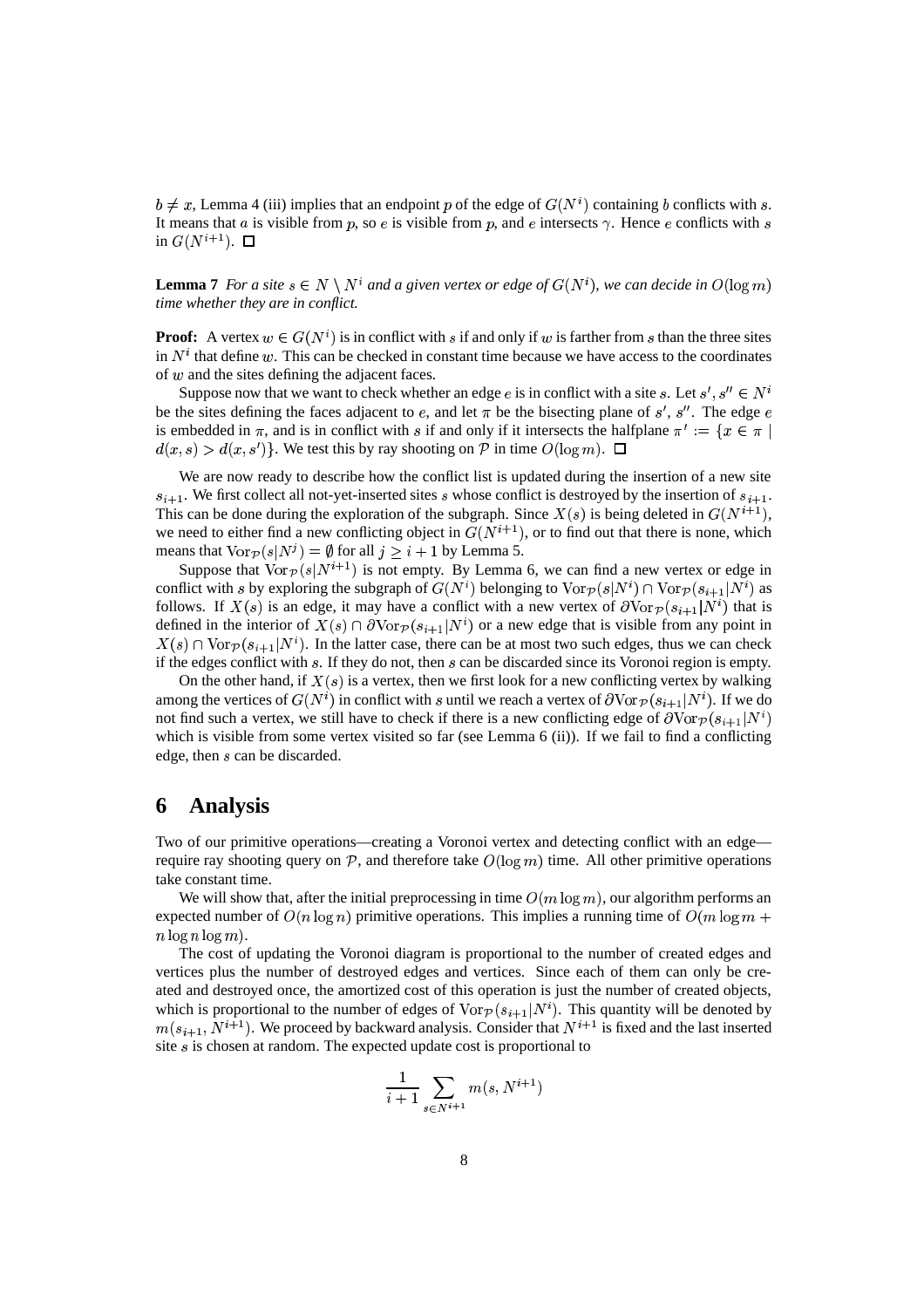$b \neq x$ , Lemma 4 (iii) implies that an endpoint p of the edge of  $G(N^i)$  containing b conflicts with s. It means that a is visible from p, so e is visible from p, and e intersects  $\gamma$ . Hence e conflicts with s in  $G(N^{i+1})$ .  $\Box$ 

**Lemma 7** *For a site*  $s \in N \setminus N^i$  *and a* given vertex or edge of  $G(N^i)$ , we can decide in  $O(\log m)$ *time whether they are in conflict.*

**Proof:** A vertex  $w \in G(N^i)$  is in conflict with s if and only if w is farther from s than the three sites in  $N<sup>i</sup>$  that define  $w$ . This can be checked in constant time because we have access to the coordinates of  *and the sites defining the adjacent faces.* 

Suppose now that we want to check whether an edge  $e$  is in conflict with a site  $s$ . Let  $s', s'' \in N^i$ be the sites defining the faces adjacent to e, and let  $\pi$  be the bisecting plane of s', s''. The edge e is embedded in  $\pi$ , and is in conflict with s if and only if it intersects the halfplane  $\pi' := \{ x \in \pi \mid$  $d(x, s) > d(x, s')$ . We test this by ray shooting on  $P$  in time  $O(\log m)$ .  $\Box$ 

We are now ready to describe how the conflict list is updated during the insertion of a new site  $s_{i+1}$ . We first collect all not-yet-inserted sites s whose conflict is destroyed by the insertion of  $s_{i+1}$ . This can be done during the exploration of the subgraph. Since  $X(s)$  is being deleted in  $G(N^{i+1})$ , we need to either find a new conflicting object in  $G(N^{i+1})$ , or to find out that there is none, which means that  $\text{Vor}_{\mathcal{P}}(s|N^j) = \emptyset$  for all  $j \geq i + 1$  by Lemma 5.

Suppose that  $\text{Vor}_{\mathcal{P}}(s|N^{t+1})$  is not empty. By Lemma 6, we can find a new vertex or edge in conflict with s by exploring the subgraph of  $G(N^i)$  belonging to  $\text{Vor}_{\mathcal{P}}(s|N^i) \cap \text{Vor}_{\mathcal{P}}(s_{i+1}|N^i)$  as follows. If  $X(s)$  is an edge, it may have a conflict with a new vertex of  $\partial \text{Vor}_{\mathcal{P}}(s_{i+1}|N^i)$  that is defined in the interior of  $X(s) \cap \partial \text{Vor}_{\mathcal{P}}(s_{i+1}|N^i)$  or a new edge that is visible from any point in  $X(s) \cap \text{Vor}_{\mathcal{P}}(s_{i+1} | N^i)$ . In the latter case, there can be at most two such edges, thus we can check if the edges conflict with  $s$ . If they do not, then  $s$  can be discarded since its Voronoi region is empty.

On the other hand, if  $X(s)$  is a vertex, then we first look for a new conflicting vertex by walking among the vertices of  $G(N^i)$  in conflict with s until we reach a vertex of  $\partial \text{Vor}_{\mathcal{P}}(s_{i+1}|N^i)$ . If we do not find such a vertex, we still have to check if there is a new conflicting edge of  $\partial \text{Vor}_{\mathcal{P}}(s_{i+1}|N^i)$ which is visible from some vertex visited so far (see Lemma 6 (ii)). If we fail to find a conflicting edge, then  $s$  can be discarded.

#### **6 Analysis**

Two of our primitive operations—creating a Voronoi vertex and detecting conflict with an edge require ray shooting query on  $P$ , and therefore take  $O(\log m)$  time. All other primitive operations take constant time.

We will show that, after the initial preprocessing in time  $O(m \log m)$ , our algorithm performs an expected number of  $O(n \log n)$  primitive operations. This implies a running time of  $O(m \log m)$  +  $n \log n \log m$ .

The cost of updating the Voronoi diagram is proportional to the number of created edges and vertices plus the number of destroyed edges and vertices. Since each of them can only be created and destroyed once, the amortized cost of this operation is just the number of created objects, which is proportional to the number of edges of  $\text{Vor}_{\mathcal{P}}(s_{i+1}|N^i)$ . This quantity will be denoted by  $m(s_{i+1}, N^{i+1})$ . We proceed by backward analysis. Consider that  $N^{i+1}$  is fixed and the last inserted site  $s$  is chosen at random. The expected update cost is proportional to

$$
\frac{1}{i+1} \sum_{s \in N^{i+1}} m(s, N^{i+1})
$$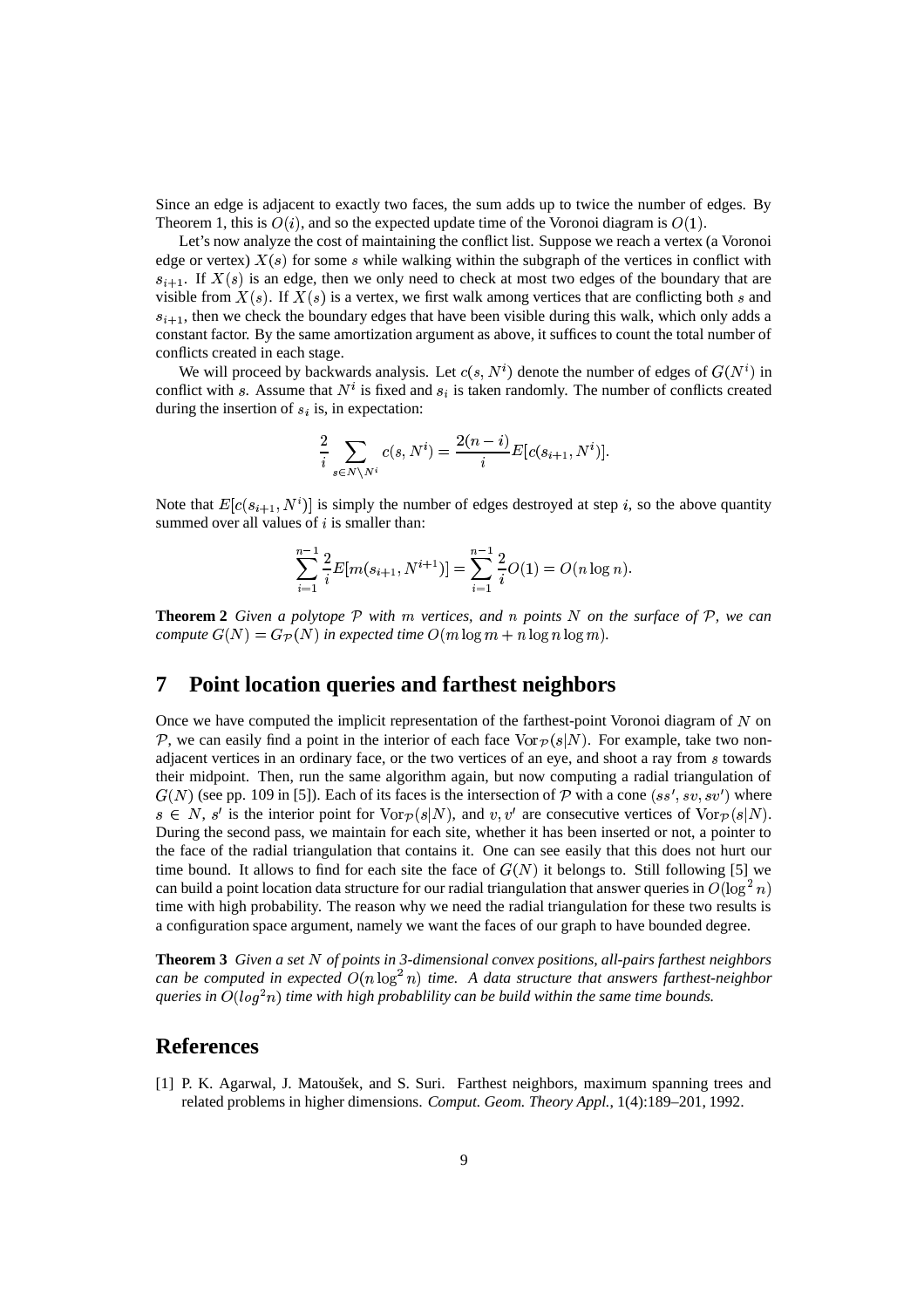Since an edge is adjacent to exactly two faces, the sum adds up to twice the number of edges. By Theorem 1, this is  $O(i)$ , and so the expected update time of the Voronoi diagram is  $O(1)$ .

Let's now analyze the cost of maintaining the conflict list. Suppose we reach a vertex (a Voronoi edge or vertex)  $X(s)$  for some s while walking within the subgraph of the vertices in conflict with  $s_{i+1}$ . If  $X(s)$  is an edge, then we only need to check at most two edges of the boundary that are visible from  $X(s)$ . If  $X(s)$  is a vertex, we first walk among vertices that are conflicting both s and  $s_{i+1}$ , then we check the boundary edges that have been visible during this walk, which only adds a constant factor. By the same amortization argument as above, it suffices to count the total number of conflicts created in each stage.

We will proceed by backwards analysis. Let  $c(s, N<sup>i</sup>)$  denote the number of edges of  $G(N<sup>i</sup>)$  in conflict with s. Assume that  $N^i$  is fixed and  $s_i$  is taken randomly. The number of conflicts created during the insertion of  $s_i$  is, in expectation:

$$
\frac{2}{i} \sum_{s \in N \setminus N^i} c(s, N^i) = \frac{2(n-i)}{i} E[c(s_{i+1}, N^i)].
$$

Note that  $E[c(s_{i+1}, N^i)]$  is simply the number of edges destroyed at step i, so the above quantity summed over all values of  $i$  is smaller than:

$$
\sum_{i=1}^{n-1} \frac{2}{i} E[m(s_{i+1}, N^{i+1})] = \sum_{i=1}^{n-1} \frac{2}{i} O(1) = O(n \log n).
$$

**Theorem 2** Given a polytope  $P$  with  $m$  vertices, and  $n$  points  $N$  on the surface of  $P$ , we can *compute*  $G(N) = G_{\mathcal{P}}(N)$  *in expected time*  $O(m \log m + n \log n \log m)$ *.* 

#### **7 Point location queries and farthest neighbors**

Once we have computed the implicit representation of the farthest-point Voronoi diagram of  $N$  on  $P$ , we can easily find a point in the interior of each face  $\text{Vor}_{\mathcal{P}}(s|N)$ . For example, take two nonadjacent vertices in an ordinary face, or the two vertices of an eye, and shoot a ray from  $\overline{s}$  towards their midpoint. Then, run the same algorithm again, but now computing a radial triangulation of  $G(N)$  (see pp. 109 in [5]). Each of its faces is the intersection of  $\mathcal P$  with a cone  $(s, s', s, v', s')$  where  $s \in N$ , s' is the interior point for  $\text{Vor}_{\mathcal{P}}(s|N)$ , and  $v, v'$  are consecutive vertices of  $\text{Vor}_{\mathcal{P}}(s|N)$ . During the second pass, we maintain for each site, whether it has been inserted or not, a pointer to the face of the radial triangulation that contains it. One can see easily that this does not hurt our time bound. It allows to find for each site the face of  $G(N)$  it belongs to. Still following [5] we can build a point location data structure for our radial triangulation that answer queries in  $O(\log^2 n)$ time with high probability. The reason why we need the radial triangulation for these two results is a configuration space argument, namely we want the faces of our graph to have bounded degree.

**Theorem 3** *Given a set of points in 3-dimensional convex positions, all-pairs farthest neighbors can be computed in expected*  $O(n \log^2 n)$  *time.* A *data structure that answers farthest-neighbor gueries in*  $O(log<sup>2</sup>n)$  *time with high probablility can be build within the same time bounds.* 

### **References**

[1] P. K. Agarwal, J. Matoušek, and S. Suri. Farthest neighbors, maximum spanning trees and related problems in higher dimensions. *Comput. Geom. Theory Appl.*, 1(4):189–201, 1992.